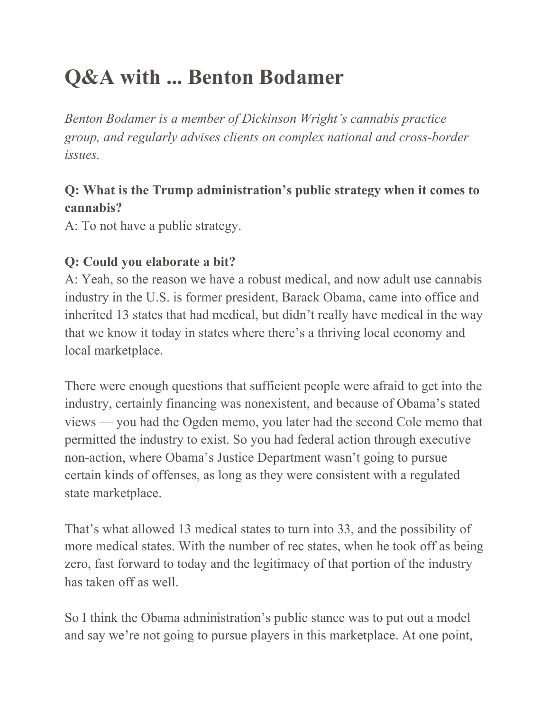# **Q&A with ... Benton Bodamer**

*Benton Bodamer is a member of Dickinson Wright's cannabis practice group, and regularly advises clients on complex national and cross-border issues.*

#### **Q: What is the Trump administration's public strategy when it comes to cannabis?**

A: To not have a public strategy.

#### **Q: Could you elaborate a bit?**

A: Yeah, so the reason we have a robust medical, and now adult use cannabis industry in the U.S. is former president, Barack Obama, came into office and inherited 13 states that had medical, but didn't really have medical in the way that we know it today in states where there's a thriving local economy and local marketplace.

There were enough questions that sufficient people were afraid to get into the industry, certainly financing was nonexistent, and because of Obama's stated views — you had the Ogden memo, you later had the second Cole memo that permitted the industry to exist. So you had federal action through executive non-action, where Obama's Justice Department wasn't going to pursue certain kinds of offenses, as long as they were consistent with a regulated state marketplace.

That's what allowed 13 medical states to turn into 33, and the possibility of more medical states. With the number of rec states, when he took off as being zero, fast forward to today and the legitimacy of that portion of the industry has taken off as well.

So I think the Obama administration's public stance was to put out a model and say we're not going to pursue players in this marketplace. At one point,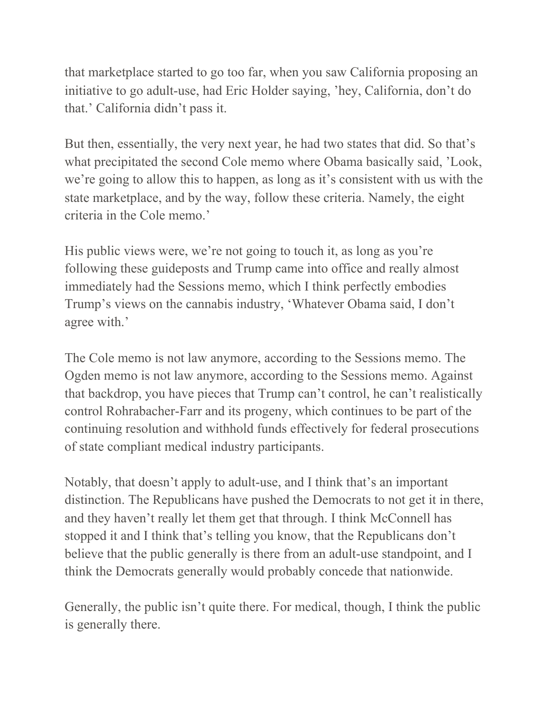that marketplace started to go too far, when you saw California proposing an initiative to go adult-use, had Eric Holder saying, 'hey, California, don't do that.' California didn't pass it.

But then, essentially, the very next year, he had two states that did. So that's what precipitated the second Cole memo where Obama basically said, 'Look, we're going to allow this to happen, as long as it's consistent with us with the state marketplace, and by the way, follow these criteria. Namely, the eight criteria in the Cole memo.'

His public views were, we're not going to touch it, as long as you're following these guideposts and Trump came into office and really almost immediately had the Sessions memo, which I think perfectly embodies Trump's views on the cannabis industry, 'Whatever Obama said, I don't agree with.'

The Cole memo is not law anymore, according to the Sessions memo. The Ogden memo is not law anymore, according to the Sessions memo. Against that backdrop, you have pieces that Trump can't control, he can't realistically control Rohrabacher-Farr and its progeny, which continues to be part of the continuing resolution and withhold funds effectively for federal prosecutions of state compliant medical industry participants.

Notably, that doesn't apply to adult-use, and I think that's an important distinction. The Republicans have pushed the Democrats to not get it in there, and they haven't really let them get that through. I think McConnell has stopped it and I think that's telling you know, that the Republicans don't believe that the public generally is there from an adult-use standpoint, and I think the Democrats generally would probably concede that nationwide.

Generally, the public isn't quite there. For medical, though, I think the public is generally there.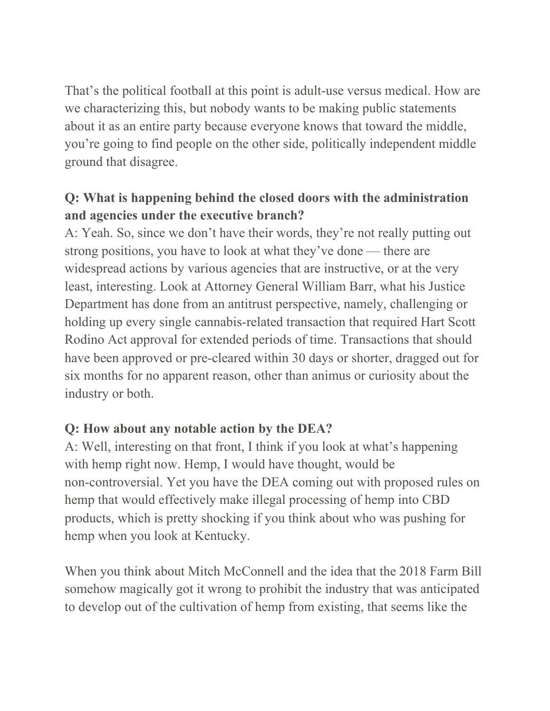That's the political football at this point is adult-use versus medical. How are we characterizing this, but nobody wants to be making public statements about it as an entire party because everyone knows that toward the middle, you're going to find people on the other side, politically independent middle ground that disagree.

#### **Q: What is happening behind the closed doors with the administration and agencies under the executive branch?**

A: Yeah. So, since we don't have their words, they're not really putting out strong positions, you have to look at what they've done — there are widespread actions by various agencies that are instructive, or at the very least, interesting. Look at Attorney General William Barr, what his Justice Department has done from an antitrust perspective, namely, challenging or holding up every single cannabis-related transaction that required Hart Scott Rodino Act approval for extended periods of time. Transactions that should have been approved or pre-cleared within 30 days or shorter, dragged out for six months for no apparent reason, other than animus or curiosity about the industry or both.

#### **Q: How about any notable action by the DEA?**

A: Well, interesting on that front, I think if you look at what's happening with hemp right now. Hemp, I would have thought, would be non-controversial. Yet you have the DEA coming out with proposed rules on hemp that would effectively make illegal processing of hemp into CBD products, which is pretty shocking if you think about who was pushing for hemp when you look at Kentucky.

When you think about Mitch McConnell and the idea that the 2018 Farm Bill somehow magically got it wrong to prohibit the industry that was anticipated to develop out of the cultivation of hemp from existing, that seems like the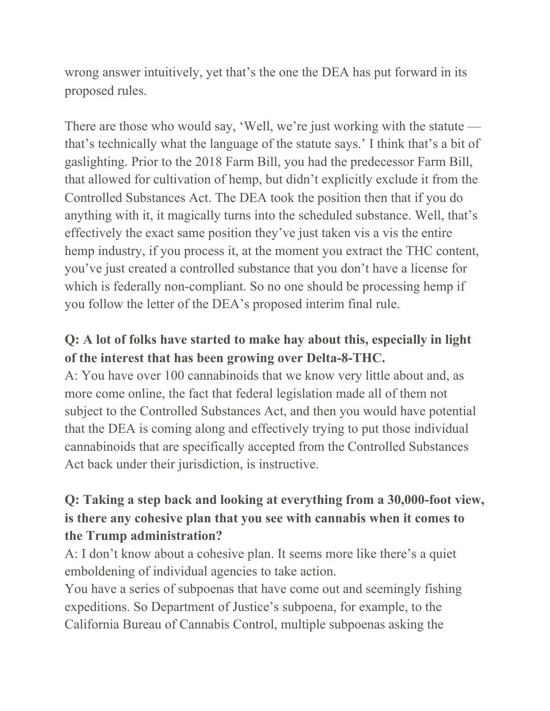wrong answer intuitively, yet that's the one the DEA has put forward in its proposed rules.

There are those who would say, 'Well, we're just working with the statute that's technically what the language of the statute says.' I think that's a bit of gaslighting. Prior to the 2018 Farm Bill, you had the predecessor Farm Bill, that allowed for cultivation of hemp, but didn't explicitly exclude it from the Controlled Substances Act. The DEA took the position then that if you do anything with it, it magically turns into the scheduled substance. Well, that's effectively the exact same position they've just taken vis a vis the entire hemp industry, if you process it, at the moment you extract the THC content, you've just created a controlled substance that you don't have a license for which is federally non-compliant. So no one should be processing hemp if you follow the letter of the DEA's proposed interim final rule.

## **Q: A lot of folks have started to make hay about this, especially in light of the interest that has been growing over Delta-8-THC.**

A: You have over 100 cannabinoids that we know very little about and, as more come online, the fact that federal legislation made all of them not subject to the Controlled Substances Act, and then you would have potential that the DEA is coming along and effectively trying to put those individual cannabinoids that are specifically accepted from the Controlled Substances Act back under their jurisdiction, is instructive.

## **Q: Taking a step back and looking at everything from a 30,000-foot view, is there any cohesive plan that you see with cannabis when it comes to the Trump administration?**

A: I don't know about a cohesive plan. It seems more like there's a quiet emboldening of individual agencies to take action.

You have a series of subpoenas that have come out and seemingly fishing expeditions. So Department of Justice's subpoena, for example, to the California Bureau of Cannabis Control, multiple subpoenas asking the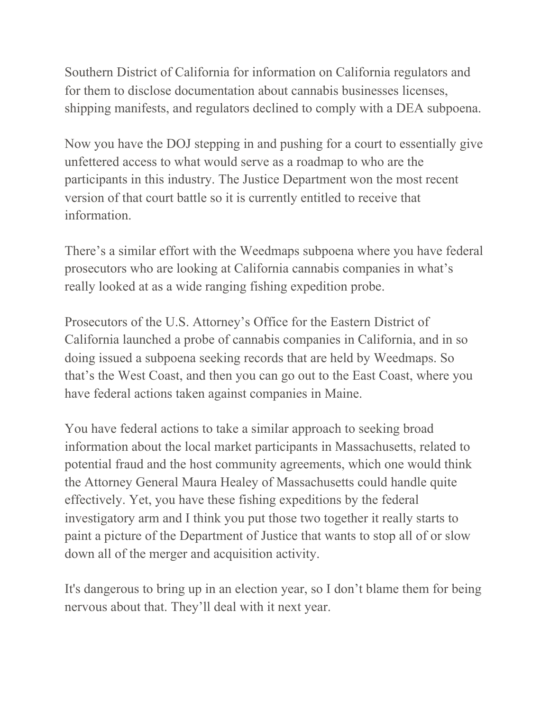Southern District of California for information on California regulators and for them to disclose documentation about cannabis businesses licenses, shipping manifests, and regulators declined to comply with a DEA subpoena.

Now you have the DOJ stepping in and pushing for a court to essentially give unfettered access to what would serve as a roadmap to who are the participants in this industry. The Justice Department won the most recent version of that court battle so it is currently entitled to receive that information.

There's a similar effort with the Weedmaps subpoena where you have federal prosecutors who are looking at California cannabis companies in what's really looked at as a wide ranging fishing expedition probe.

Prosecutors of the U.S. Attorney's Office for the Eastern District of California launched a probe of cannabis companies in California, and in so doing issued a subpoena seeking records that are held by Weedmaps. So that's the West Coast, and then you can go out to the East Coast, where you have federal actions taken against companies in Maine.

You have federal actions to take a similar approach to seeking broad information about the local market participants in Massachusetts, related to potential fraud and the host community agreements, which one would think the Attorney General Maura Healey of Massachusetts could handle quite effectively. Yet, you have these fishing expeditions by the federal investigatory arm and I think you put those two together it really starts to paint a picture of the Department of Justice that wants to stop all of or slow down all of the merger and acquisition activity.

It's dangerous to bring up in an election year, so I don't blame them for being nervous about that. They'll deal with it next year.